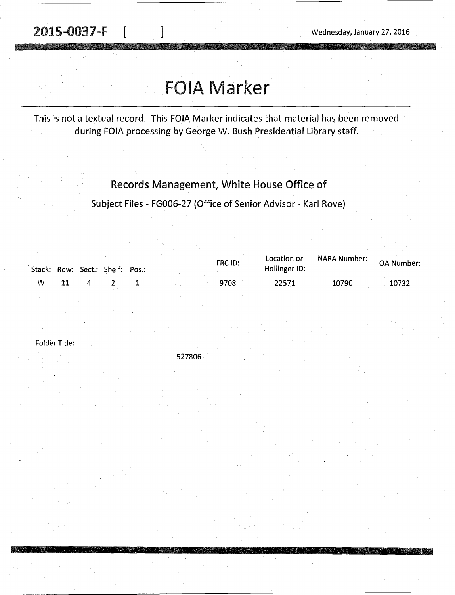**MARSHA** 

# FOIA Marker

This is not a textual record. This FOIA Marker indicates that material has been removed during FOIA processing by George W. Bush Presidential Library staff.

## Records Management, White House Office of

Subject Files - FGOOG-27 (Office of Senior Advisor - Kari Rove)

|   |  | Stack: Row: Sect.: Shelf: Pos.: |  | FRC ID: | Location or<br>Hollinger ID: | NARA Number: | <b>OA Number:</b> |
|---|--|---------------------------------|--|---------|------------------------------|--------------|-------------------|
| w |  |                                 |  | 9708    | 22571                        | 10790        | 10732             |

Folder Title:

527806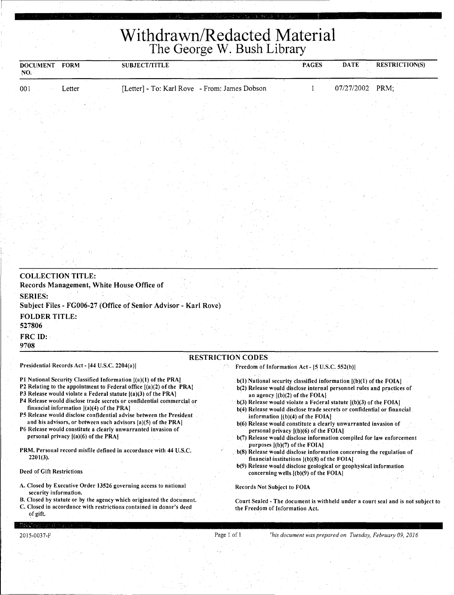**Withdrawn/Redacted Material**  The George W. Bush Library

| <b>DOCUMENT</b><br>NO. | <b>FORM</b> | <b>SUBJECT/TITLE</b> |                                               | <b>PAGES</b> | <b>RESTRICTION(S)</b><br><b>DATE</b> |
|------------------------|-------------|----------------------|-----------------------------------------------|--------------|--------------------------------------|
| 001                    | Letter      |                      | [Letter] - To: Karl Rove - From: James Dobson |              | $07/27/2002$ PRM;                    |
|                        |             |                      |                                               |              |                                      |

| <b>COLLECTION TITLE:</b><br>Records Management, White House Office of             |  |  |  |  |
|-----------------------------------------------------------------------------------|--|--|--|--|
| <b>SERIES:</b><br>Subject Files - FG006-27 (Office of Senior Advisor - Karl Rove) |  |  |  |  |
| <b>FOLDER TITLE:</b><br>527806                                                    |  |  |  |  |
| <b>FRC ID:</b><br>9708                                                            |  |  |  |  |

### RESTRICTION CODES

Presidential Records Act - [44 U.S.C. 2204(a)]

Pl National Security Classified Information [(a)(l) of the PRAI P2 Relating to the appointment to Federal office [(a)(2) of the PRAI

- P3 Release would violate a Federal statute [(a)(3) of the PRA]
- P4 Release would disclose trade secrets or confidential commercial or financial information [(a)(4) of the PRA]
- PS Release would disclose confidential advise between the President and his advisors, or between such advisors [a)(S) of the PRA]
- P6 Release would constitute a clearly unwarranted invasion of personal privacy  $|(a)(6)$  of the PRA
- PRM. Personal record misfile defined in accordance with 44 U.S.C. 2201(3).

#### Deed of Gift Restrictions

- A. Closed by Executive Order 13526 governing access to national security information.
- B. Closed by statute or by the agency which originated the document.
- C. Closed in accordance with restrictions· contained in donor's deed of gift.
- Freedom of Information Act 15 U.S.C. 552(b)I
	- b(l) National security classified information [(b)(l) of the FOIAI
	- b(2) Release would disclose internal personnel rules and practices of an agency [(b)(2) of the FOIA)
	- b(3) Release would violate a Federal statute  $[(b)(3)$  of the FOIA]
	- b(4) Release would disclose trade secrets or confidential or financial information [(b)(4) of the FOIAJ
	- b(6) Release would constitute a clearly unwarranted invasion of personal privacy  $[(b)(6)$  of the FOIA]
	- b(7) Release would disclose information compiled for law enforcement purposes ((b)(7) of the FOIAI
- b(8) Release would disclose information concerning the regulation of financial institutions [(b)(8) of the FOIAI
- b(9) Release would disclose geological or geophysical information concerning wells.  $[(b)(9)$  of the FOIA]

Records Not Subject to FOIA

Court Sealed - The document is withheld under a court seal and is not subject to the Freedom of Information Act.

Page I of I *rhis document was prepared on Tuesday, February 09, 2016*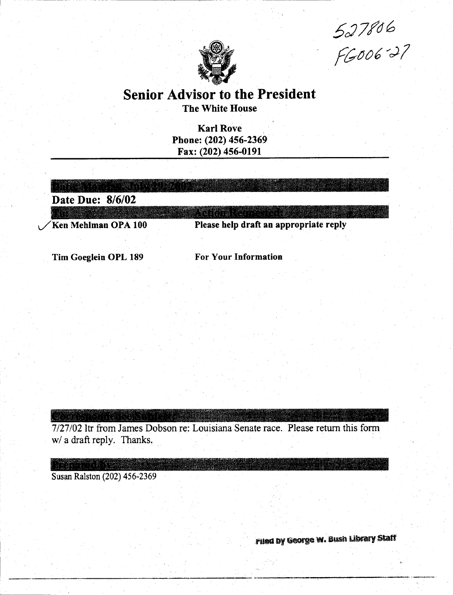$527806$ <br> $600627$ 



# Senior Advisor to the President The White House

Karl Rove Phone: (202) 456-2369 Fax: (202) 456-0191

| Date Due: 8/6/02 |  |
|------------------|--|
|                  |  |

Tim Goeglein OPL 189

For Your Information

7/27/02 ltr from James Dobson re: Louisiana Senate race. Please return this form w/ a draft reply. Thanks.

Susan Ralston (202) 456-2369

Filed by George W. Bush Library Staff

 $\mathcal{L}_\text{max}$